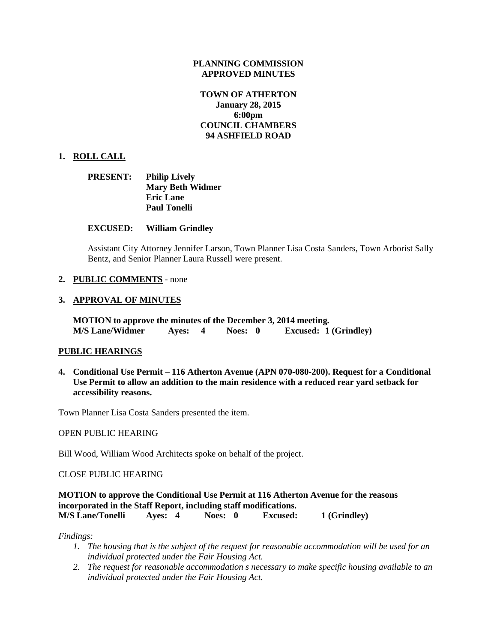### **PLANNING COMMISSION APPROVED MINUTES**

### **TOWN OF ATHERTON January 28, 2015 6:00pm COUNCIL CHAMBERS 94 ASHFIELD ROAD**

### **1. ROLL CALL**

| <b>PRESENT:</b> | <b>Philip Lively</b>    |
|-----------------|-------------------------|
|                 | <b>Mary Beth Widmer</b> |
|                 | <b>Eric Lane</b>        |
|                 | <b>Paul Tonelli</b>     |

#### **EXCUSED: William Grindley**

Assistant City Attorney Jennifer Larson, Town Planner Lisa Costa Sanders, Town Arborist Sally Bentz, and Senior Planner Laura Russell were present.

#### **2. PUBLIC COMMENTS** - none

#### **3. APPROVAL OF MINUTES**

**MOTION to approve the minutes of the December 3, 2014 meeting. M/S Lane/Widmer Ayes: 4 Noes: 0 Excused: 1 (Grindley)**

#### **PUBLIC HEARINGS**

**4. Conditional Use Permit – 116 Atherton Avenue (APN 070-080-200). Request for a Conditional Use Permit to allow an addition to the main residence with a reduced rear yard setback for accessibility reasons.**

Town Planner Lisa Costa Sanders presented the item.

OPEN PUBLIC HEARING

Bill Wood, William Wood Architects spoke on behalf of the project.

CLOSE PUBLIC HEARING

**MOTION to approve the Conditional Use Permit at 116 Atherton Avenue for the reasons incorporated in the Staff Report, including staff modifications. M/S Lane/Tonelli Ayes: 4 Noes: 0 Excused: 1 (Grindley)**

*Findings:*

- *1. The housing that is the subject of the request for reasonable accommodation will be used for an individual protected under the Fair Housing Act.*
- *2. The request for reasonable accommodation s necessary to make specific housing available to an individual protected under the Fair Housing Act.*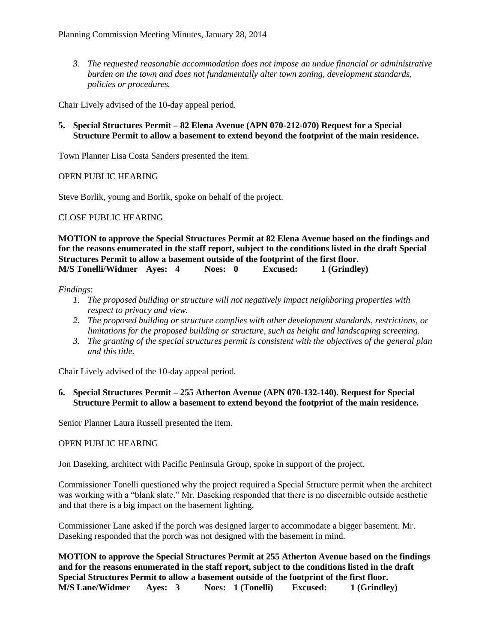*3. The requested reasonable accommodation does not impose an undue financial or administrative burden on the town and does not fundamentally alter town zoning, development standards, policies or procedures.*

Chair Lively advised of the 10-day appeal period.

**5. Special Structures Permit – 82 Elena Avenue (APN 070-212-070) Request for a Special Structure Permit to allow a basement to extend beyond the footprint of the main residence.** 

Town Planner Lisa Costa Sanders presented the item.

OPEN PUBLIC HEARING

Steve Borlik, young and Borlik, spoke on behalf of the project.

CLOSE PUBLIC HEARING

**MOTION to approve the Special Structures Permit at 82 Elena Avenue based on the findings and for the reasons enumerated in the staff report, subject to the conditions listed in the draft Special Structures Permit to allow a basement outside of the footprint of the first floor. M/S Tonelli/Widmer Ayes: 4 Noes: 0 Excused: 1 (Grindley)**

*Findings:*

- *1. The proposed building or structure will not negatively impact neighboring properties with respect to privacy and view.*
- *2. The proposed building or structure complies with other development standards, restrictions, or limitations for the proposed building or structure, such as height and landscaping screening.*
- *3. The granting of the special structures permit is consistent with the objectives of the general plan and this title.*

Chair Lively advised of the 10-day appeal period.

### **6. Special Structures Permit – 255 Atherton Avenue (APN 070-132-140). Request for Special Structure Permit to allow a basement to extend beyond the footprint of the main residence.**

Senior Planner Laura Russell presented the item.

#### OPEN PUBLIC HEARING

Jon Daseking, architect with Pacific Peninsula Group, spoke in support of the project.

Commissioner Tonelli questioned why the project required a Special Structure permit when the architect was working with a "blank slate." Mr. Daseking responded that there is no discernible outside aesthetic and that there is a big impact on the basement lighting.

Commissioner Lane asked if the porch was designed larger to accommodate a bigger basement. Mr. Daseking responded that the porch was not designed with the basement in mind.

**MOTION to approve the Special Structures Permit at 255 Atherton Avenue based on the findings and for the reasons enumerated in the staff report, subject to the conditions listed in the draft Special Structures Permit to allow a basement outside of the footprint of the first floor. M/S Lane/Widmer Ayes: 3 Noes: 1 (Tonelli) Excused: 1 (Grindley)**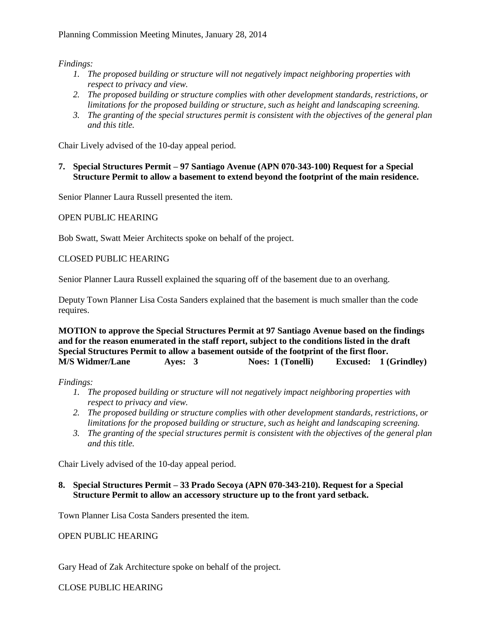*Findings:*

- *1. The proposed building or structure will not negatively impact neighboring properties with respect to privacy and view.*
- *2. The proposed building or structure complies with other development standards, restrictions, or limitations for the proposed building or structure, such as height and landscaping screening.*
- *3. The granting of the special structures permit is consistent with the objectives of the general plan and this title.*

Chair Lively advised of the 10-day appeal period.

### **7. Special Structures Permit – 97 Santiago Avenue (APN 070-343-100) Request for a Special Structure Permit to allow a basement to extend beyond the footprint of the main residence.**

Senior Planner Laura Russell presented the item.

## OPEN PUBLIC HEARING

Bob Swatt, Swatt Meier Architects spoke on behalf of the project.

## CLOSED PUBLIC HEARING

Senior Planner Laura Russell explained the squaring off of the basement due to an overhang.

Deputy Town Planner Lisa Costa Sanders explained that the basement is much smaller than the code requires.

**MOTION to approve the Special Structures Permit at 97 Santiago Avenue based on the findings and for the reason enumerated in the staff report, subject to the conditions listed in the draft Special Structures Permit to allow a basement outside of the footprint of the first floor. M/S Widmer/Lane Ayes: 3 Noes: 1 (Tonelli) Excused: 1 (Grindley)**

*Findings:*

- *1. The proposed building or structure will not negatively impact neighboring properties with respect to privacy and view.*
- *2. The proposed building or structure complies with other development standards, restrictions, or limitations for the proposed building or structure, such as height and landscaping screening.*
- *3. The granting of the special structures permit is consistent with the objectives of the general plan and this title.*

Chair Lively advised of the 10-day appeal period.

## **8. Special Structures Permit – 33 Prado Secoya (APN 070-343-210). Request for a Special Structure Permit to allow an accessory structure up to the front yard setback.**

Town Planner Lisa Costa Sanders presented the item.

OPEN PUBLIC HEARING

Gary Head of Zak Architecture spoke on behalf of the project.

CLOSE PUBLIC HEARING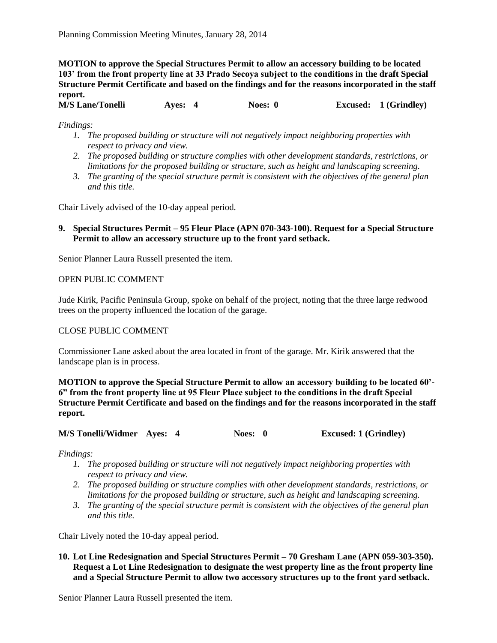**MOTION to approve the Special Structures Permit to allow an accessory building to be located 103' from the front property line at 33 Prado Secoya subject to the conditions in the draft Special Structure Permit Certificate and based on the findings and for the reasons incorporated in the staff report.**

**M/S Lane/Tonelli Ayes: 4 Noes: 0 Excused: 1 (Grindley)**

*Findings:*

- *1. The proposed building or structure will not negatively impact neighboring properties with respect to privacy and view.*
- *2. The proposed building or structure complies with other development standards, restrictions, or limitations for the proposed building or structure, such as height and landscaping screening.*
- *3. The granting of the special structure permit is consistent with the objectives of the general plan and this title.*

Chair Lively advised of the 10-day appeal period.

### **9. Special Structures Permit – 95 Fleur Place (APN 070-343-100). Request for a Special Structure Permit to allow an accessory structure up to the front yard setback.**

Senior Planner Laura Russell presented the item.

### OPEN PUBLIC COMMENT

Jude Kirik, Pacific Peninsula Group, spoke on behalf of the project, noting that the three large redwood trees on the property influenced the location of the garage.

### CLOSE PUBLIC COMMENT

Commissioner Lane asked about the area located in front of the garage. Mr. Kirik answered that the landscape plan is in process.

**MOTION to approve the Special Structure Permit to allow an accessory building to be located 60'- 6" from the front property line at 95 Fleur Place subject to the conditions in the draft Special Structure Permit Certificate and based on the findings and for the reasons incorporated in the staff report.**

#### **M/S Tonelli/Widmer Ayes: 4 Noes: 0 Excused: 1 (Grindley)**

*Findings:*

- *1. The proposed building or structure will not negatively impact neighboring properties with respect to privacy and view.*
- *2. The proposed building or structure complies with other development standards, restrictions, or limitations for the proposed building or structure, such as height and landscaping screening.*
- *3. The granting of the special structure permit is consistent with the objectives of the general plan and this title.*

Chair Lively noted the 10-day appeal period.

**10. Lot Line Redesignation and Special Structures Permit – 70 Gresham Lane (APN 059-303-350). Request a Lot Line Redesignation to designate the west property line as the front property line and a Special Structure Permit to allow two accessory structures up to the front yard setback.**

Senior Planner Laura Russell presented the item.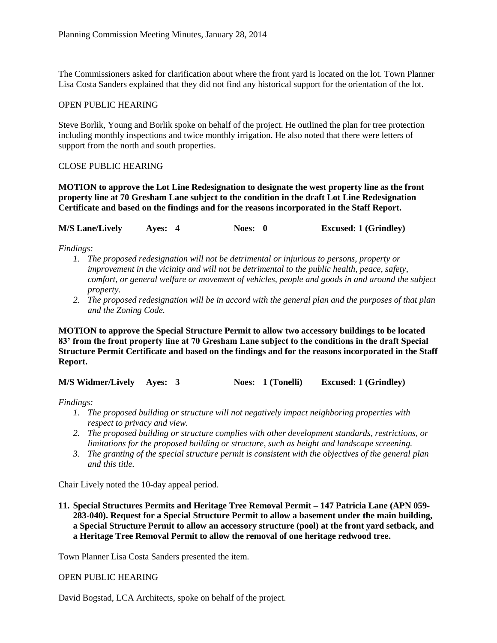The Commissioners asked for clarification about where the front yard is located on the lot. Town Planner Lisa Costa Sanders explained that they did not find any historical support for the orientation of the lot.

### OPEN PUBLIC HEARING

Steve Borlik, Young and Borlik spoke on behalf of the project. He outlined the plan for tree protection including monthly inspections and twice monthly irrigation. He also noted that there were letters of support from the north and south properties.

### CLOSE PUBLIC HEARING

**MOTION to approve the Lot Line Redesignation to designate the west property line as the front property line at 70 Gresham Lane subject to the condition in the draft Lot Line Redesignation Certificate and based on the findings and for the reasons incorporated in the Staff Report.**

| <b>M/S Lane/Lively</b> | Ayes: 4 | Noes: 0 | <b>Excused: 1 (Grindley)</b> |
|------------------------|---------|---------|------------------------------|
|------------------------|---------|---------|------------------------------|

*Findings:*

- *1. The proposed redesignation will not be detrimental or injurious to persons, property or improvement in the vicinity and will not be detrimental to the public health, peace, safety, comfort, or general welfare or movement of vehicles, people and goods in and around the subject property.*
- *2. The proposed redesignation will be in accord with the general plan and the purposes of that plan and the Zoning Code.*

**MOTION to approve the Special Structure Permit to allow two accessory buildings to be located 83' from the front property line at 70 Gresham Lane subject to the conditions in the draft Special Structure Permit Certificate and based on the findings and for the reasons incorporated in the Staff Report.**

**M/S Widmer/Lively Ayes: 3 Noes: 1 (Tonelli) Excused: 1 (Grindley)**

*Findings:*

- *1. The proposed building or structure will not negatively impact neighboring properties with respect to privacy and view.*
- *2. The proposed building or structure complies with other development standards, restrictions, or limitations for the proposed building or structure, such as height and landscape screening.*
- *3. The granting of the special structure permit is consistent with the objectives of the general plan and this title.*

Chair Lively noted the 10-day appeal period.

**11. Special Structures Permits and Heritage Tree Removal Permit – 147 Patricia Lane (APN 059- 283-040). Request for a Special Structure Permit to allow a basement under the main building, a Special Structure Permit to allow an accessory structure (pool) at the front yard setback, and a Heritage Tree Removal Permit to allow the removal of one heritage redwood tree.**

Town Planner Lisa Costa Sanders presented the item.

### OPEN PUBLIC HEARING

David Bogstad, LCA Architects, spoke on behalf of the project.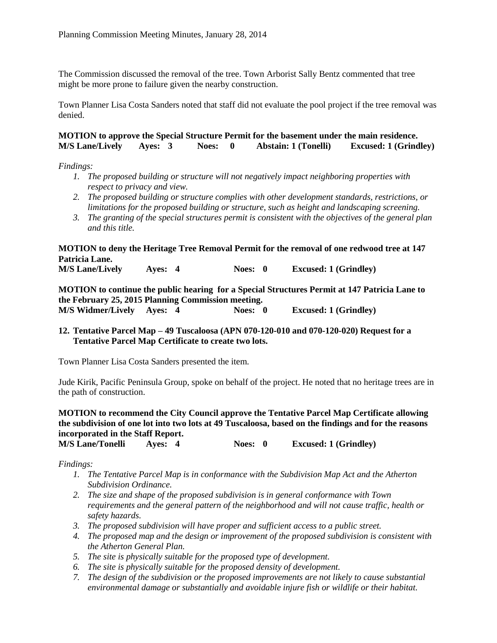The Commission discussed the removal of the tree. Town Arborist Sally Bentz commented that tree might be more prone to failure given the nearby construction.

Town Planner Lisa Costa Sanders noted that staff did not evaluate the pool project if the tree removal was denied.

### **MOTION to approve the Special Structure Permit for the basement under the main residence. M/S Lane/Lively Ayes: 3 Noes: 0 Abstain: 1 (Tonelli) Excused: 1 (Grindley)**

#### *Findings:*

- *1. The proposed building or structure will not negatively impact neighboring properties with respect to privacy and view.*
- *2. The proposed building or structure complies with other development standards, restrictions, or limitations for the proposed building or structure, such as height and landscaping screening.*
- *3. The granting of the special structures permit is consistent with the objectives of the general plan and this title.*

# **MOTION to deny the Heritage Tree Removal Permit for the removal of one redwood tree at 147 Patricia Lane.**

**M/S Lane/Lively Ayes: 4 Noes: 0 Excused: 1 (Grindley)**

**MOTION to continue the public hearing for a Special Structures Permit at 147 Patricia Lane to the February 25, 2015 Planning Commission meeting. M/S Widmer/Lively Ayes: 4 Noes: 0 Excused: 1 (Grindley)**

### **12. Tentative Parcel Map – 49 Tuscaloosa (APN 070-120-010 and 070-120-020) Request for a Tentative Parcel Map Certificate to create two lots.**

Town Planner Lisa Costa Sanders presented the item.

Jude Kirik, Pacific Peninsula Group, spoke on behalf of the project. He noted that no heritage trees are in the path of construction.

**MOTION to recommend the City Council approve the Tentative Parcel Map Certificate allowing the subdivision of one lot into two lots at 49 Tuscaloosa, based on the findings and for the reasons incorporated in the Staff Report.**

**M/S Lane/Tonelli Ayes: 4 Noes: 0 Excused: 1 (Grindley)**

*Findings:*

- *1. The Tentative Parcel Map is in conformance with the Subdivision Map Act and the Atherton Subdivision Ordinance.*
- *2. The size and shape of the proposed subdivision is in general conformance with Town requirements and the general pattern of the neighborhood and will not cause traffic, health or safety hazards.*
- *3. The proposed subdivision will have proper and sufficient access to a public street.*
- *4. The proposed map and the design or improvement of the proposed subdivision is consistent with the Atherton General Plan.*
- *5. The site is physically suitable for the proposed type of development.*
- *6. The site is physically suitable for the proposed density of development.*
- *7. The design of the subdivision or the proposed improvements are not likely to cause substantial environmental damage or substantially and avoidable injure fish or wildlife or their habitat.*